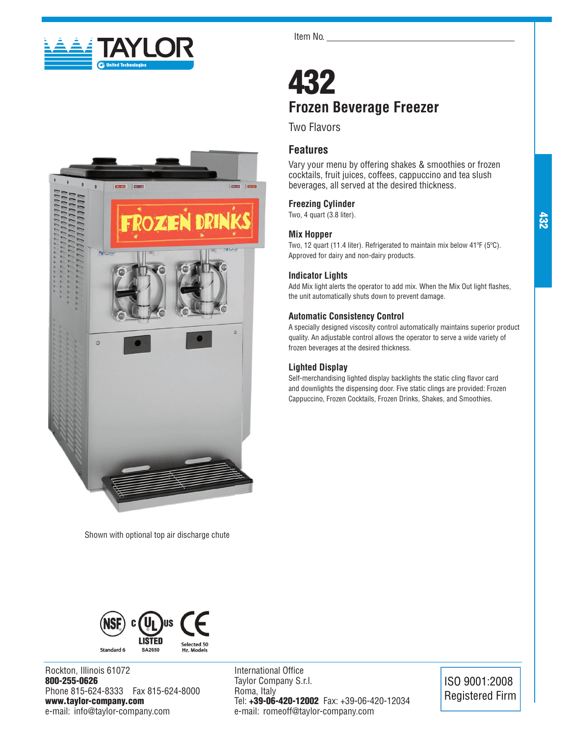



Shown with optional top air discharge chute

Item No.

## 432 **Frozen Beverage Freezer**

Two Flavors

## **Features**

Vary your menu by offering shakes & smoothies or frozen cocktails, fruit juices, coffees, cappuccino and tea slush beverages, all served at the desired thickness.

## **Freezing Cylinder**

Two, 4 quart (3.8 liter).

## **Mix Hopper**

Two, 12 quart (11.4 liter). Refrigerated to maintain mix below 41ºF (5ºC). Approved for dairy and non-dairy products.

## **Indicator Lights**

Add Mix light alerts the operator to add mix. When the Mix Out light flashes, the unit automatically shuts down to prevent damage.

## **Automatic Consistency Control**

A specially designed viscosity control automatically maintains superior product quality. An adjustable control allows the operator to serve a wide variety of frozen beverages at the desired thickness.

## **Lighted Display**

Self-merchandising lighted display backlights the static cling flavor card and downlights the dispensing door. Five static clings are provided: Frozen Cappuccino, Frozen Cocktails, Frozen Drinks, Shakes, and Smoothies.

432



Rockton, Illinois 61072 800-255-0626 Phone 815-624-8333 Fax 815-624-8000 www.taylor-company.com e-mail: info@taylor-company.com

International Office Taylor Company S.r.l. Roma, Italy Tel: +39-06-420-12002 Fax: +39-06-420-12034 e-mail: romeoff@taylor-company.com

ISO 9001:2008 Registered Firm